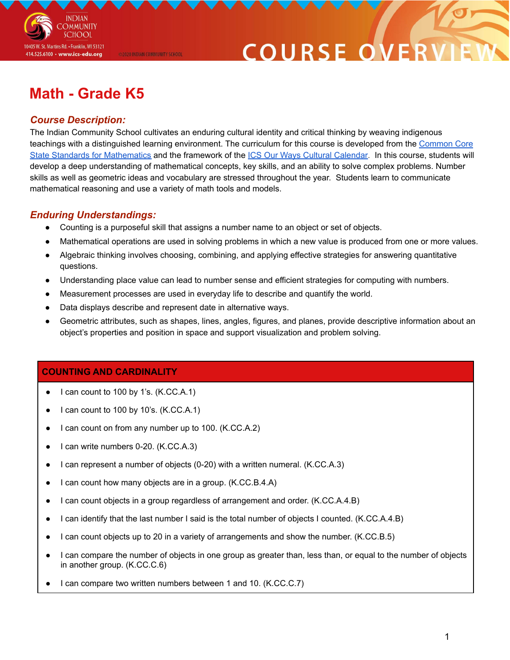

# **COURSE O**

# **Math - Grade K5**

### *Course Description:*

The Indian Community School cultivates an enduring cultural identity and critical thinking by weaving indigenous teachings with a distinguished learning environment. The curriculum for this course is developed from the [Common](http://www.corestandards.org/Math/) Core State Standards for [Mathematics](http://www.corestandards.org/Math/) and the framework of the ICS Our Ways Cultural [Calendar.](https://drive.google.com/open?id=0B7pONXiRIufTT3VHOXBBeG9USHMzbDNIUi1nV0NTbURCMFRZ) In this course, students will develop a deep understanding of mathematical concepts, key skills, and an ability to solve complex problems. Number skills as well as geometric ideas and vocabulary are stressed throughout the year. Students learn to communicate mathematical reasoning and use a variety of math tools and models.

## *Enduring Understandings:*

- Counting is a purposeful skill that assigns a number name to an object or set of objects.
- Mathematical operations are used in solving problems in which a new value is produced from one or more values.
- Algebraic thinking involves choosing, combining, and applying effective strategies for answering quantitative questions.
- Understanding place value can lead to number sense and efficient strategies for computing with numbers.
- Measurement processes are used in everyday life to describe and quantify the world.
- Data displays describe and represent date in alternative ways.

@2020 INDIAN COMMUNITY SCHOOL

Geometric attributes, such as shapes, lines, angles, figures, and planes, provide descriptive information about an object's properties and position in space and support visualization and problem solving.

### **COUNTING AND CARDINALITY**

- I can count to 100 by 1's.  $(K.CC.A.1)$
- I can count to 100 by 10's.  $(K.CC.A.1)$
- I can count on from any number up to 100. (K.CC.A.2)
- I can write numbers 0-20. (K.CC.A.3)
- I can represent a number of objects (0-20) with a written numeral. (K.CC.A.3)
- I can count how many objects are in a group. (K.CC.B.4.A)
- I can count objects in a group regardless of arrangement and order. (K.CC.A.4.B)
- I can identify that the last number I said is the total number of objects I counted. (K.CC.A.4.B)
- I can count objects up to 20 in a variety of arrangements and show the number. (K.CC.B.5)
- I can compare the number of objects in one group as greater than, less than, or equal to the number of objects in another group. (K.CC.C.6)
- I can compare two written numbers between 1 and 10. (K.CC.C.7)